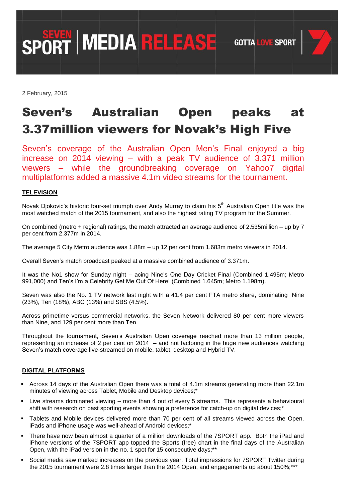**SPORT MEDIA RELEASE** GOTTA LOVE SPORT

2 February, 2015

## Seven's Australian Open peaks at 3.37million viewers for Novak's High Five

Seven's coverage of the Australian Open Men's Final enjoyed a big increase on 2014 viewing – with a peak TV audience of 3.371 million viewers – while the groundbreaking coverage on Yahoo7 digital multiplatforms added a massive 4.1m video streams for the tournament.

## **TELEVISION**

Novak Djokovic's historic four-set triumph over Andy Murray to claim his 5<sup>th</sup> Australian Open title was the most watched match of the 2015 tournament, and also the highest rating TV program for the Summer.

On combined (metro + regional) ratings, the match attracted an average audience of 2.535million – up by 7 per cent from 2.377m in 2014.

The average 5 City Metro audience was 1.88m – up 12 per cent from 1.683m metro viewers in 2014.

Overall Seven's match broadcast peaked at a massive combined audience of 3.371m.

It was the No1 show for Sunday night – acing Nine's One Day Cricket Final (Combined 1.495m; Metro 991,000) and Ten's I'm a Celebrity Get Me Out Of Here! (Combined 1.645m; Metro 1.198m).

Seven was also the No. 1 TV network last night with a 41.4 per cent FTA metro share, dominating Nine (23%), Ten (18%), ABC (13%) and SBS (4.5%).

Across primetime versus commercial networks, the Seven Network delivered 80 per cent more viewers than Nine, and 129 per cent more than Ten.

Throughout the tournament, Seven's Australian Open coverage reached more than 13 million people, representing an increase of 2 per cent on 2014 – and not factoring in the huge new audiences watching Seven's match coverage live-streamed on mobile, tablet, desktop and Hybrid TV.

## **DIGITAL PLATFORMS**

- Across 14 days of the Australian Open there was a total of 4.1m streams generating more than 22.1m minutes of viewing across Tablet, Mobile and Desktop devices;\*
- Live streams dominated viewing more than 4 out of every 5 streams. This represents a behavioural shift with research on past sporting events showing a preference for catch-up on digital devices;\*
- Tablets and Mobile devices delivered more than 70 per cent of all streams viewed across the Open. iPads and iPhone usage was well-ahead of Android devices;\*
- There have now been almost a quarter of a million downloads of the 7SPORT app. Both the iPad and iPhone versions of the 7SPORT app topped the Sports (free) chart in the final days of the Australian Open, with the iPad version in the no. 1 spot for 15 consecutive days;\*\*
- Social media saw marked increases on the previous year. Total impressions for 7SPORT Twitter during the 2015 tournament were 2.8 times larger than the 2014 Open, and engagements up about 150%;\*\*